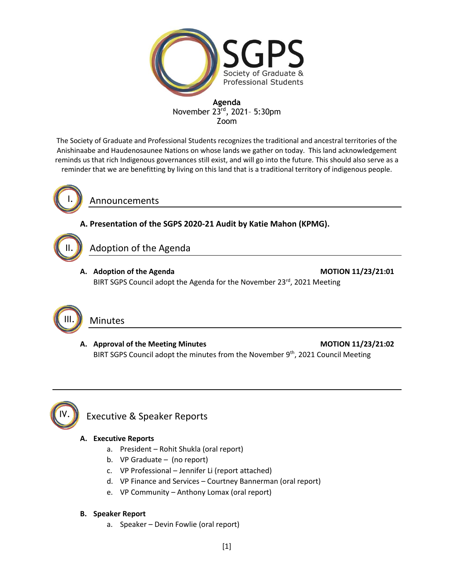

The Society of Graduate and Professional Students recognizes the traditional and ancestral territories of the Anishinaabe and Haudenosaunee Nations on whose lands we gather on today. This land acknowledgement reminds us that rich Indigenous governances still exist, and will go into the future. This should also serve as a reminder that we are benefitting by living on this land that is a traditional territory of indigenous people.



II.

Announcements

### **A. Presentation of the SGPS 2020-21 Audit by Katie Mahon (KPMG).**

# Adoption of the Agenda

A. Adoption of the Agenda **MOTION 11/23/21:01** BIRT SGPS Council adopt the Agenda for the November 23rd, 2021 Meeting



### Minutes

A. Approval of the Meeting Minutes **MOTION 11/23/21:02** BIRT SGPS Council adopt the minutes from the November 9<sup>th</sup>, 2021 Council Meeting



## Executive & Speaker Reports

### **A. Executive Reports**

- a. President Rohit Shukla (oral report)
- b. VP Graduate (no report)
- c. VP Professional Jennifer Li (report attached)
- d. VP Finance and Services Courtney Bannerman (oral report)
- e. VP Community Anthony Lomax (oral report)

#### **B. Speaker Report**

a. Speaker – Devin Fowlie (oral report)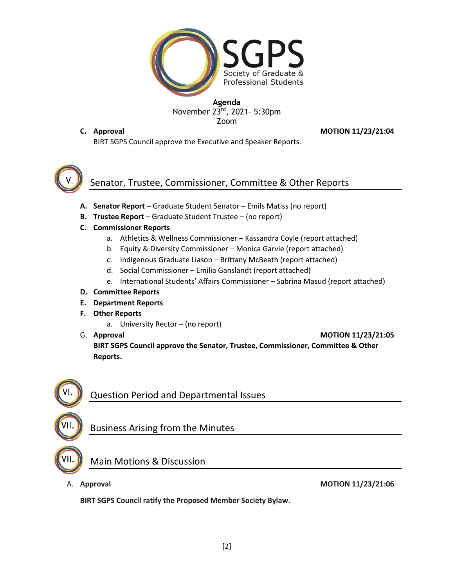

**C. Approval MOTION 11/23/21:04**

BIRT SGPS Council approve the Executive and Speaker Reports.



# Senator, Trustee, Commissioner, Committee & Other Reports

- **A. Senator Report**  Graduate Student Senator Emils Matiss (no report)
- **B. Trustee Report**  Graduate Student Trustee (no report)
- **C. Commissioner Reports**
	- a. Athletics & Wellness Commissioner Kassandra Coyle (report attached)
	- b. Equity & Diversity Commissioner Monica Garvie (report attached)
	- c. Indigenous Graduate Liason Brittany McBeath (report attached)
	- d. Social Commissioner Emilia Ganslandt (report attached)
	- e. International Students' Affairs Commissioner Sabrina Masud (report attached)
- **D. Committee Reports**
- **E. Department Reports**
- **F. Other Reports**
	- a. University Rector (no report)
- 

G. **Approval MOTION 11/23/21:05**

**BIRT SGPS Council approve the Senator, Trustee, Commissioner, Committee & Other Reports.**



# Question Period and Departmental Issues

Business Arising from the Minutes



## Main Motions & Discussion

A. **Approval MOTION 11/23/21:06**

**BIRT SGPS Council ratify the Proposed Member Society Bylaw.**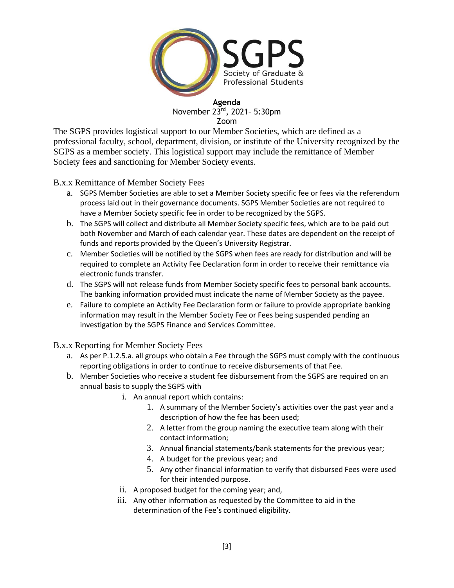

The SGPS provides logistical support to our Member Societies, which are defined as a professional faculty, school, department, division, or institute of the University recognized by the SGPS as a member society. This logistical support may include the remittance of Member Society fees and sanctioning for Member Society events.

B.x.x Remittance of Member Society Fees

- a. SGPS Member Societies are able to set a Member Society specific fee or fees via the referendum process laid out in their governance documents. SGPS Member Societies are not required to have a Member Society specific fee in order to be recognized by the SGPS.
- b. The SGPS will collect and distribute all Member Society specific fees, which are to be paid out both November and March of each calendar year. These dates are dependent on the receipt of funds and reports provided by the Queen's University Registrar.
- c. Member Societies will be notified by the SGPS when fees are ready for distribution and will be required to complete an Activity Fee Declaration form in order to receive their remittance via electronic funds transfer.
- d. The SGPS will not release funds from Member Society specific fees to personal bank accounts. The banking information provided must indicate the name of Member Society as the payee.
- e. Failure to complete an Activity Fee Declaration form or failure to provide appropriate banking information may result in the Member Society Fee or Fees being suspended pending an investigation by the SGPS Finance and Services Committee.

B.x.x Reporting for Member Society Fees

- a. As per P.1.2.5.a. all groups who obtain a Fee through the SGPS must comply with the continuous reporting obligations in order to continue to receive disbursements of that Fee.
- b. Member Societies who receive a student fee disbursement from the SGPS are required on an annual basis to supply the SGPS with
	- i. An annual report which contains:
		- 1. A summary of the Member Society's activities over the past year and a description of how the fee has been used;
		- 2. A letter from the group naming the executive team along with their contact information;
		- 3. Annual financial statements/bank statements for the previous year;
		- 4. A budget for the previous year; and
		- 5. Any other financial information to verify that disbursed Fees were used for their intended purpose.
	- ii. A proposed budget for the coming year; and,
	- iii. Any other information as requested by the Committee to aid in the determination of the Fee's continued eligibility.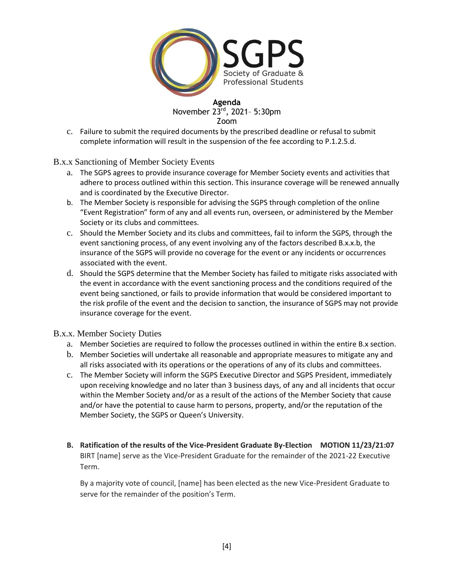

c. Failure to submit the required documents by the prescribed deadline or refusal to submit complete information will result in the suspension of the fee according to P.1.2.5.d.

B.x.x Sanctioning of Member Society Events

- a. The SGPS agrees to provide insurance coverage for Member Society events and activities that adhere to process outlined within this section. This insurance coverage will be renewed annually and is coordinated by the Executive Director.
- b. The Member Society is responsible for advising the SGPS through completion of the online "Event Registration" form of any and all events run, overseen, or administered by the Member Society or its clubs and committees.
- c. Should the Member Society and its clubs and committees, fail to inform the SGPS, through the event sanctioning process, of any event involving any of the factors described B.x.x.b, the insurance of the SGPS will provide no coverage for the event or any incidents or occurrences associated with the event.
- d. Should the SGPS determine that the Member Society has failed to mitigate risks associated with the event in accordance with the event sanctioning process and the conditions required of the event being sanctioned, or fails to provide information that would be considered important to the risk profile of the event and the decision to sanction, the insurance of SGPS may not provide insurance coverage for the event.

#### B.x.x. Member Society Duties

- a. Member Societies are required to follow the processes outlined in within the entire B.x section.
- b. Member Societies will undertake all reasonable and appropriate measures to mitigate any and all risks associated with its operations or the operations of any of its clubs and committees.
- c. The Member Society will inform the SGPS Executive Director and SGPS President, immediately upon receiving knowledge and no later than 3 business days, of any and all incidents that occur within the Member Society and/or as a result of the actions of the Member Society that cause and/or have the potential to cause harm to persons, property, and/or the reputation of the Member Society, the SGPS or Queen's University.
- **B. Ratification of the results of the Vice-President Graduate By-Election MOTION 11/23/21:07** BIRT [name] serve as the Vice-President Graduate for the remainder of the 2021-22 Executive Term.

By a majority vote of council, [name] has been elected as the new Vice-President Graduate to serve for the remainder of the position's Term.